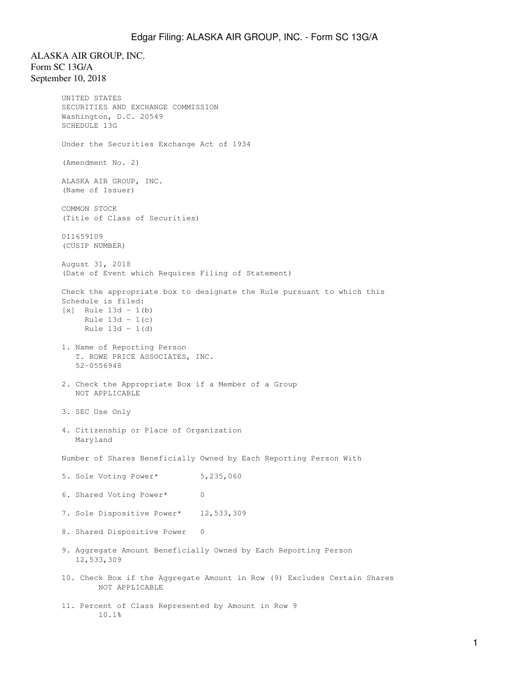## Edgar Filing: ALASKA AIR GROUP, INC. - Form SC 13G/A

ALASKA AIR GROUP, INC. Form SC 13G/A September 10, 2018

```
UNITED STATES
SECURITIES AND EXCHANGE COMMISSION
Washington, D.C. 20549
SCHEDULE 13G
Under the Securities Exchange Act of 1934
(Amendment No. 2)
ALASKA AIR GROUP, INC.
(Name of Issuer)
COMMON STOCK
(Title of Class of Securities)
011659109
(CUSIP NUMBER)
August 31, 2018
(Date of Event which Requires Filing of Statement)
Check the appropriate box to designate the Rule pursuant to which this
Schedule is filed:
[x] Rule 13d - 1(b)
     Rule 13d - 1(c)
     Rule 13d - 1(d)
1. Name of Reporting Person
    T. ROWE PRICE ASSOCIATES, INC.
    52-0556948
2. Check the Appropriate Box if a Member of a Group
    NOT APPLICABLE
3. SEC Use Only
4. Citizenship or Place of Organization
   Maryland
Number of Shares Beneficially Owned by Each Reporting Person With
5. Sole Voting Power* 5,235,060
6. Shared Voting Power* 0
7. Sole Dispositive Power* 12,533,309
8. Shared Dispositive Power 0
9. Aggregate Amount Beneficially Owned by Each Reporting Person
    12,533,309
10. Check Box if the Aggregate Amount in Row (9) Excludes Certain Shares
        NOT APPLICABLE
11. Percent of Class Represented by Amount in Row 9
        10.1%
```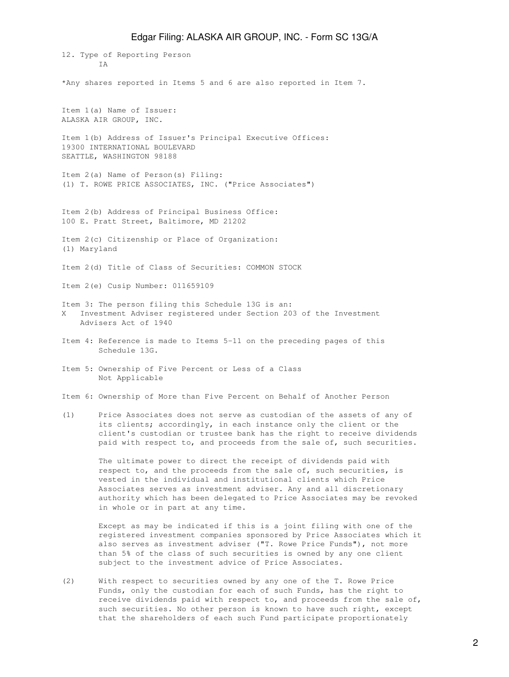12. Type of Reporting Person T A \*Any shares reported in Items 5 and 6 are also reported in Item 7. Item 1(a) Name of Issuer: ALASKA AIR GROUP, INC. Item 1(b) Address of Issuer's Principal Executive Offices: 19300 INTERNATIONAL BOULEVARD SEATTLE, WASHINGTON 98188 Item 2(a) Name of Person(s) Filing: (1) T. ROWE PRICE ASSOCIATES, INC. ("Price Associates") Item 2(b) Address of Principal Business Office: 100 E. Pratt Street, Baltimore, MD 21202 Item 2(c) Citizenship or Place of Organization: (1) Maryland Item 2(d) Title of Class of Securities: COMMON STOCK Item 2(e) Cusip Number: 011659109 Item 3: The person filing this Schedule 13G is an: X Investment Adviser registered under Section 203 of the Investment Advisers Act of 1940 Item 4: Reference is made to Items 5-11 on the preceding pages of this Schedule 13G. Item 5: Ownership of Five Percent or Less of a Class Not Applicable Item 6: Ownership of More than Five Percent on Behalf of Another Person (1) Price Associates does not serve as custodian of the assets of any of its clients; accordingly, in each instance only the client or the client's custodian or trustee bank has the right to receive dividends paid with respect to, and proceeds from the sale of, such securities. The ultimate power to direct the receipt of dividends paid with respect to, and the proceeds from the sale of, such securities, is

 vested in the individual and institutional clients which Price Associates serves as investment adviser. Any and all discretionary authority which has been delegated to Price Associates may be revoked in whole or in part at any time.

 Except as may be indicated if this is a joint filing with one of the registered investment companies sponsored by Price Associates which it also serves as investment adviser ("T. Rowe Price Funds"), not more than 5% of the class of such securities is owned by any one client subject to the investment advice of Price Associates.

(2) With respect to securities owned by any one of the T. Rowe Price Funds, only the custodian for each of such Funds, has the right to receive dividends paid with respect to, and proceeds from the sale of, such securities. No other person is known to have such right, except that the shareholders of each such Fund participate proportionately